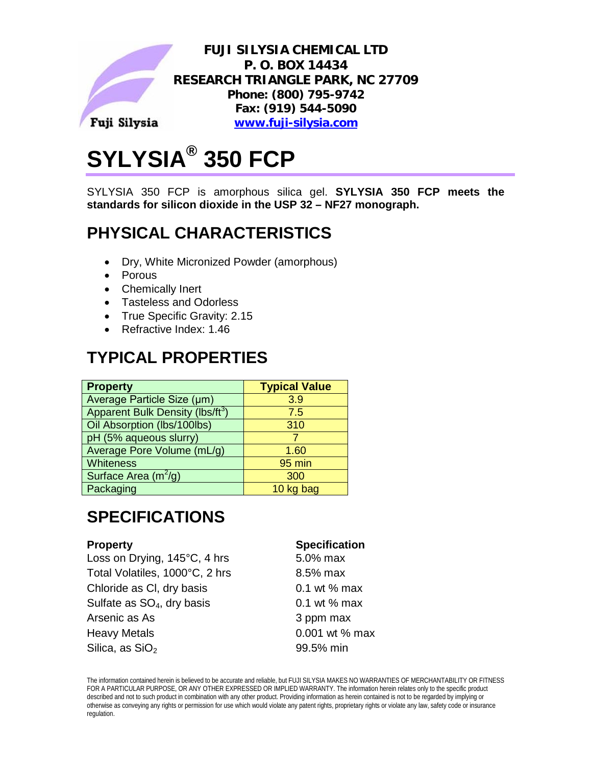

# **SYLYSIA® 350 FCP**

SYLYSIA 350 FCP is amorphous silica gel. **SYLYSIA 350 FCP meets the standards for silicon dioxide in the USP 32 – NF27 monograph.**

## **PHYSICAL CHARACTERISTICS**

- Dry, White Micronized Powder (amorphous)
- Porous
- Chemically Inert
- Tasteless and Odorless
- True Specific Gravity: 2.15
- Refractive Index: 1.46

# **TYPICAL PROPERTIES**

| <b>Property</b>                             | <b>Typical Value</b> |
|---------------------------------------------|----------------------|
| Average Particle Size (µm)                  | 3.9                  |
| Apparent Bulk Density (lbs/ft <sup>3)</sup> | 7.5                  |
| Oil Absorption (lbs/100lbs)                 | 310                  |
| pH (5% aqueous slurry)                      |                      |
| Average Pore Volume (mL/g)                  | 1.60                 |
| Whiteness                                   | 95 min               |
| Surface Area $(m^2/g)$                      | 300                  |
| Packaging                                   | 10 kg bag            |

# **SPECIFICATIONS**

Loss on Drying,  $145^{\circ}$ C, 4 hrs Total Volatiles, 1000°C, 2 hrs Chloride as CI, dry basis Sulfate as  $SO<sub>4</sub>$ , dry basis Arsenic as As Heavy Metals 6.001 wt % max Silica, as  $SiO<sub>2</sub>$ 

#### **Property Specification**

| $5.0\%$ max      |
|------------------|
| 8.5% max         |
| 0.1 wt $%$ max   |
| 0.1 wt $%$ max   |
| 3 ppm max        |
| $0.001$ wt % max |
| 99.5% min        |

The information contained herein is believed to be accurate and reliable, but FUJI SILYSIA MAKES NO WARRANTIES OF MERCHANTABILITY OR FITNESS FOR A PARTICULAR PURPOSE, OR ANY OTHER EXPRESSED OR IMPLIED WARRANTY. The information herein relates only to the specific product described and not to such product in combination with any other product. Providing information as herein contained is not to be regarded by implying or otherwise as conveying any rights or permission for use which would violate any patent rights, proprietary rights or violate any law, safety code or insurance regulation.